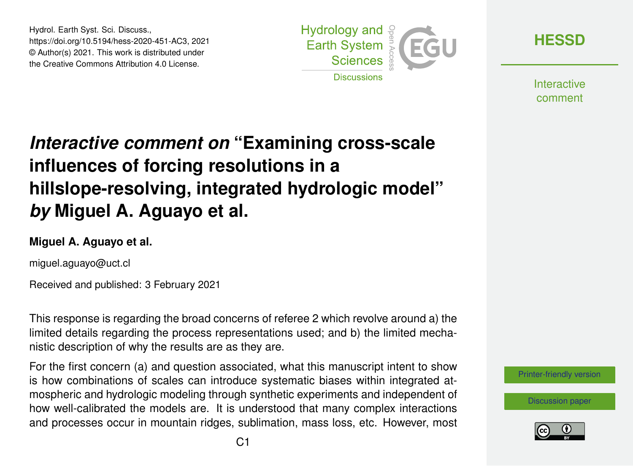Hydrol. Earth Syst. Sci. Discuss., https://doi.org/10.5194/hess-2020-451-AC3, 2021 © Author(s) 2021. This work is distributed under the Creative Commons Attribution 4.0 License.



**[HESSD](https://hess.copernicus.org/preprints/)**

**Interactive** comment

## *Interactive comment on* **"Examining cross-scale influences of forcing resolutions in a hillslope-resolving, integrated hydrologic model"** *by* **Miguel A. Aguayo et al.**

## **Miguel A. Aguayo et al.**

miguel.aguayo@uct.cl

Received and published: 3 February 2021

This response is regarding the broad concerns of referee 2 which revolve around a) the limited details regarding the process representations used; and b) the limited mechanistic description of why the results are as they are.

For the first concern (a) and question associated, what this manuscript intent to show is how combinations of scales can introduce systematic biases within integrated atmospheric and hydrologic modeling through synthetic experiments and independent of how well-calibrated the models are. It is understood that many complex interactions and processes occur in mountain ridges, sublimation, mass loss, etc. However, most

[Printer-friendly version](https://hess.copernicus.org/preprints/hess-2020-451/hess-2020-451-AC3-print.pdf)

[Discussion paper](https://hess.copernicus.org/preprints/hess-2020-451)

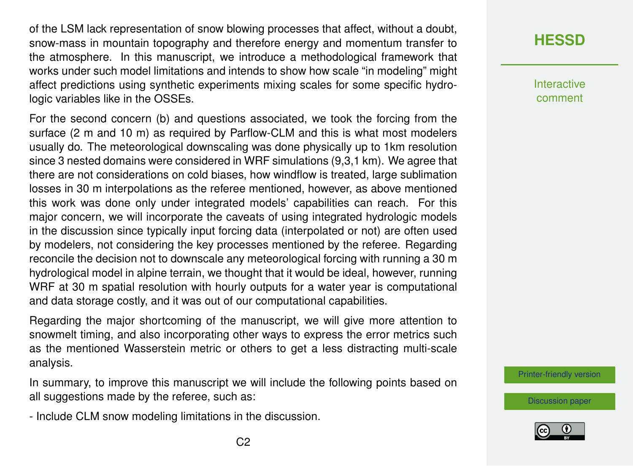of the LSM lack representation of snow blowing processes that affect, without a doubt, snow-mass in mountain topography and therefore energy and momentum transfer to the atmosphere. In this manuscript, we introduce a methodological framework that works under such model limitations and intends to show how scale "in modeling" might affect predictions using synthetic experiments mixing scales for some specific hydrologic variables like in the OSSEs.

For the second concern (b) and questions associated, we took the forcing from the surface (2 m and 10 m) as required by Parflow-CLM and this is what most modelers usually do. The meteorological downscaling was done physically up to 1km resolution since 3 nested domains were considered in WRF simulations (9,3,1 km). We agree that there are not considerations on cold biases, how windflow is treated, large sublimation losses in 30 m interpolations as the referee mentioned, however, as above mentioned this work was done only under integrated models' capabilities can reach. For this major concern, we will incorporate the caveats of using integrated hydrologic models in the discussion since typically input forcing data (interpolated or not) are often used by modelers, not considering the key processes mentioned by the referee. Regarding reconcile the decision not to downscale any meteorological forcing with running a 30 m hydrological model in alpine terrain, we thought that it would be ideal, however, running WRF at 30 m spatial resolution with hourly outputs for a water year is computational and data storage costly, and it was out of our computational capabilities.

Regarding the major shortcoming of the manuscript, we will give more attention to snowmelt timing, and also incorporating other ways to express the error metrics such as the mentioned Wasserstein metric or others to get a less distracting multi-scale analysis.

In summary, to improve this manuscript we will include the following points based on all suggestions made by the referee, such as:

- Include CLM snow modeling limitations in the discussion.

**Interactive** comment

[Printer-friendly version](https://hess.copernicus.org/preprints/hess-2020-451/hess-2020-451-AC3-print.pdf)